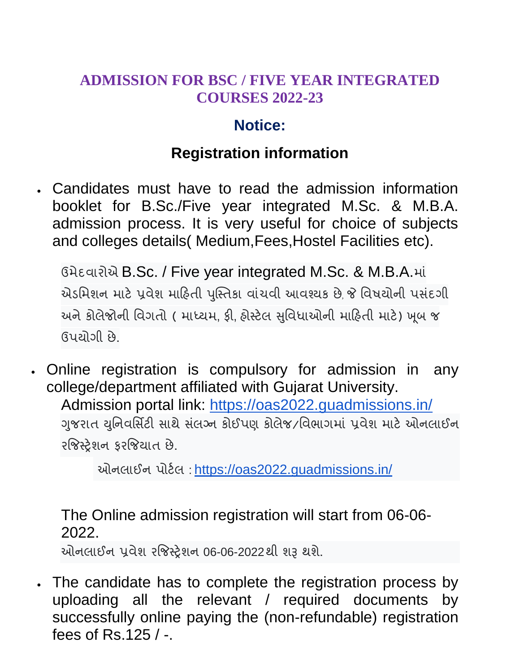## **ADMISSION FOR BSC / FIVE YEAR INTEGRATED COURSES 2022-23**

## **Notice:**

## **Registration information**

 Candidates must have to read the admission information booklet for B.Sc./Five year integrated M.Sc. & M.B.A. admission process. It is very useful for choice of subjects and colleges details( Medium,Fees,Hostel Facilities etc).

ઉમેદવારોએ B.Sc. / Five year integrated M.Sc. & M.B.A.માં એડમિશન માટે પ્રવેશ માહિતી પુસ્તિકા વાંચવી આવશ્યક છે જે વિષચોની પસંદગી અને કોલેજોની વિગતો ( માધ્યમ, ફી, હોસ્ટેલ સુવિધાઓની માહિતી માટે) ખૂબ જ ઉમોગી છે.

 Online registration is compulsory for admission in any college/department affiliated with Gujarat University. Admission portal link: <https://oas2022.guadmissions.in/> ગુજરાત યુનિવર્સિટી સાથે સંલગ્ન કોઈપણ કોલેજ/વિભાગમાં પ્રવેશ માટે ઓનલાઈન રજિસ્ટેશન કરજિયાત છે.

ઓનલાઈન પોર્ટલ: https://oas2022.quadmissions.in/

The Online admission registration will start from 06-06- 2022.

ઓનરાઈન પ્રલેળ યજજતરેળન 06-06-2022થી ળરૂ થળે.

 The candidate has to complete the registration process by uploading all the relevant / required documents by successfully online paying the (non-refundable) registration fees of Rs.125 / -.